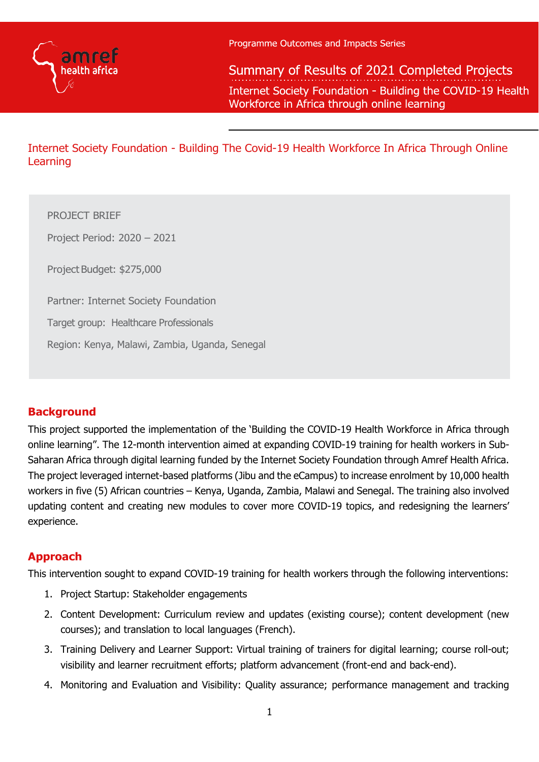

Summary of Results of 2021 Completed Projects Internet Society Foundation - Building the COVID-19 Health Workforce in Africa through online learning

Internet Society Foundation - Building The Covid-19 Health Workforce In Africa Through Online Learning

PROJECT BRIEF

Project Period: 2020 – 2021

Project Budget: \$275,000

Partner: Internet Society Foundation

Target group: Healthcare Professionals

Region: Kenya, Malawi, Zambia, Uganda, Senegal

## **Background**

This project supported the implementation of the 'Building the COVID-19 Health Workforce in Africa through online learning". The 12-month intervention aimed at expanding COVID-19 training for health workers in Sub-Saharan Africa through digital learning funded by the Internet Society Foundation through Amref Health Africa. The project leveraged internet-based platforms (Jibu and the eCampus) to increase enrolment by 10,000 health workers in five (5) African countries – Kenya, Uganda, Zambia, Malawi and Senegal. The training also involved updating content and creating new modules to cover more COVID-19 topics, and redesigning the learners' experience.

## **Approach**

This intervention sought to expand COVID-19 training for health workers through the following interventions:

- 1. Project Startup: Stakeholder engagements
- 2. Content Development: Curriculum review and updates (existing course); content development (new courses); and translation to local languages (French).
- 3. Training Delivery and Learner Support: Virtual training of trainers for digital learning; course roll-out; visibility and learner recruitment efforts; platform advancement (front-end and back-end).
- 4. Monitoring and Evaluation and Visibility: Quality assurance; performance management and tracking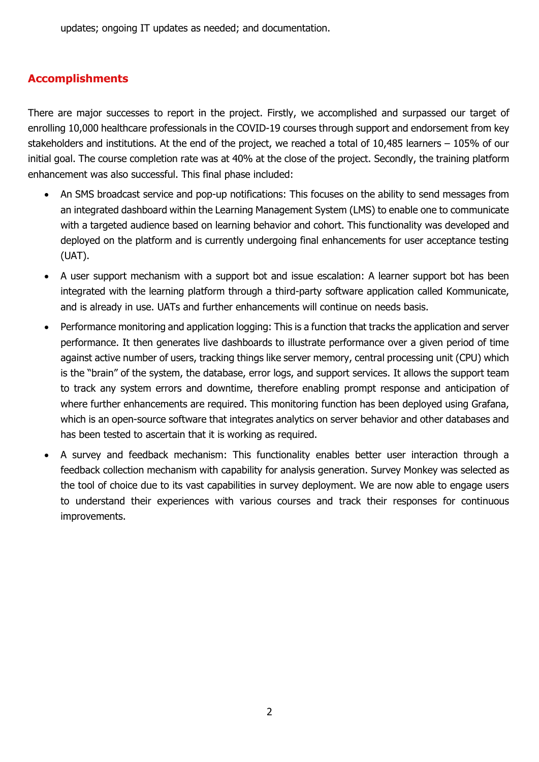updates; ongoing IT updates as needed; and documentation.

# **Accomplishments**

There are major successes to report in the project. Firstly, we accomplished and surpassed our target of enrolling 10,000 healthcare professionals in the COVID-19 courses through support and endorsement from key stakeholders and institutions. At the end of the project, we reached a total of 10,485 learners – 105% of our initial goal. The course completion rate was at 40% at the close of the project. Secondly, the training platform enhancement was also successful. This final phase included:

- An SMS broadcast service and pop-up notifications: This focuses on the ability to send messages from an integrated dashboard within the Learning Management System (LMS) to enable one to communicate with a targeted audience based on learning behavior and cohort. This functionality was developed and deployed on the platform and is currently undergoing final enhancements for user acceptance testing (UAT).
- A user support mechanism with a support bot and issue escalation: A learner support bot has been integrated with the learning platform through a third-party software application called Kommunicate, and is already in use. UATs and further enhancements will continue on needs basis.
- Performance monitoring and application logging: This is a function that tracks the application and server performance. It then generates live dashboards to illustrate performance over a given period of time against active number of users, tracking things like server memory, central processing unit (CPU) which is the "brain" of the system, the database, error logs, and support services. It allows the support team to track any system errors and downtime, therefore enabling prompt response and anticipation of where further enhancements are required. This monitoring function has been deployed using [Grafana,](https://grafana.com/) which is an open-source software that integrates analytics on server behavior and other databases and has been tested to ascertain that it is working as required.
- A survey and feedback mechanism: This functionality enables better user interaction through a feedback collection mechanism with capability for analysis generation. [Survey Monkey](https://www.surveymonkey.com/welcome/sem/?program=7013A000000mweBQAQ&utm_bu=CR&utm_campaign=71700000059186490&utm_adgroup=58700005408390198&utm_content=43700049188951718&utm_medium=cpc&utm_source=adwords&utm_term=p49188951718&utm_kxconfid=s4bvpi0ju&language=&gclid=CjwKCAjwuvmHBhAxEiwAWAYj-LqU5ezqgi_QeTfFAkBRSOR4PlnzZecN-R1gvfsOq-HpbL9p29FTIBoCTPYQAvD_BwE&gclsrc=aw.ds) was selected as the tool of choice due to its vast capabilities in survey deployment. We are now able to engage users to understand their experiences with various courses and track their responses for continuous improvements.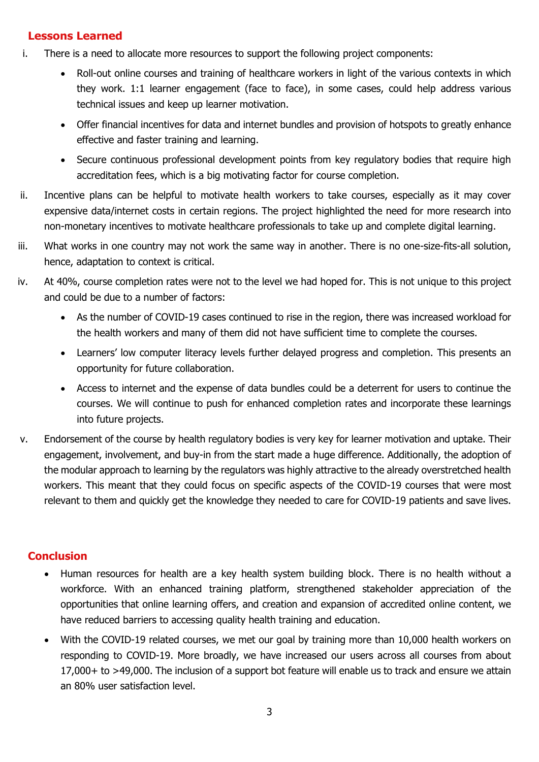## **Lessons Learned**

- i. There is a need to allocate more resources to support the following project components:
	- Roll-out online courses and training of healthcare workers in light of the various contexts in which they work. 1:1 learner engagement (face to face), in some cases, could help address various technical issues and keep up learner motivation.
	- Offer financial incentives for data and internet bundles and provision of hotspots to greatly enhance effective and faster training and learning.
	- Secure continuous professional development points from key regulatory bodies that require high accreditation fees, which is a big motivating factor for course completion.
- ii. Incentive plans can be helpful to motivate health workers to take courses, especially as it may cover expensive data/internet costs in certain regions. The project highlighted the need for more research into non-monetary incentives to motivate healthcare professionals to take up and complete digital learning.
- iii. What works in one country may not work the same way in another. There is no one-size-fits-all solution, hence, adaptation to context is critical.
- iv. At 40%, course completion rates were not to the level we had hoped for. This is not unique to this project and could be due to a number of factors:
	- As the number of COVID-19 cases continued to rise in the region, there was increased workload for the health workers and many of them did not have sufficient time to complete the courses.
	- Learners' low computer literacy levels further delayed progress and completion. This presents an opportunity for future collaboration.
	- Access to internet and the expense of data bundles could be a deterrent for users to continue the courses. We will continue to push for enhanced completion rates and incorporate these learnings into future projects.
- v. Endorsement of the course by health regulatory bodies is very key for learner motivation and uptake. Their engagement, involvement, and buy-in from the start made a huge difference. Additionally, the adoption of the modular approach to learning by the regulators was highly attractive to the already overstretched health workers. This meant that they could focus on specific aspects of the COVID-19 courses that were most relevant to them and quickly get the knowledge they needed to care for COVID-19 patients and save lives.

## **Conclusion**

- Human resources for health are a key health system building block. There is no health without a workforce. With an enhanced training platform, strengthened stakeholder appreciation of the opportunities that online learning offers, and creation and expansion of accredited online content, we have reduced barriers to accessing quality health training and education.
- With the COVID-19 related courses, we met our goal by training more than 10,000 health workers on responding to COVID-19. More broadly, we have increased our users across all courses from about 17,000+ to >49,000. The inclusion of a support bot feature will enable us to track and ensure we attain an 80% user satisfaction level.